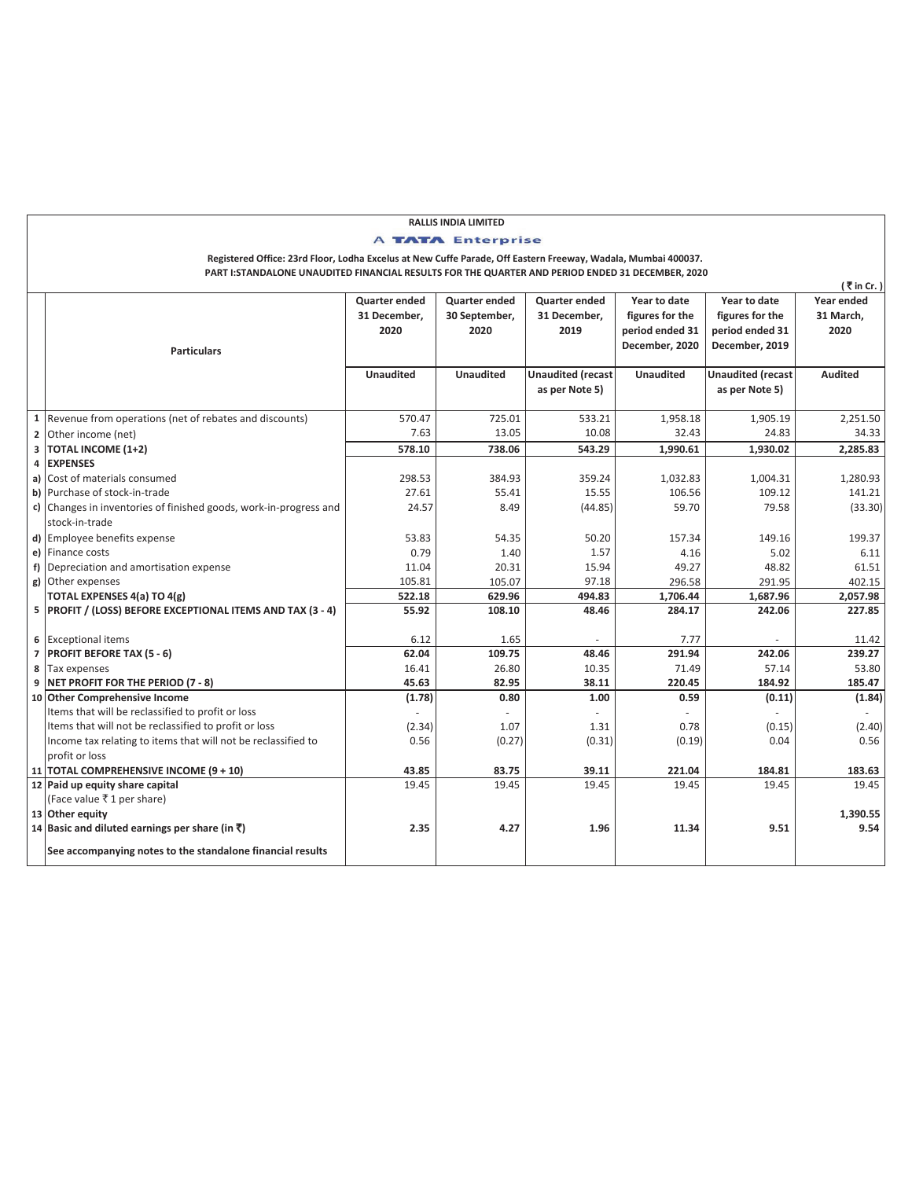## **RALLIS INDIA LIMITED A TATA Enterprise**

## **PART I:STANDALONE UNAUDITED FINANCIAL RESULTS FOR THE QUARTER AND PERIOD ENDED 31 DECEMBER, 2020 Registered Office: 23rd Floor, Lodha Excelus at New Cuffe Parade, Off Eastern Freeway, Wadala, Mumbai 400037.**

|                |                                                                                     |                      |                      |                          |                  |                          | (₹in Cr.)      |
|----------------|-------------------------------------------------------------------------------------|----------------------|----------------------|--------------------------|------------------|--------------------------|----------------|
|                |                                                                                     | <b>Quarter ended</b> | <b>Quarter ended</b> | <b>Quarter ended</b>     | Year to date     | Year to date             | Year ended     |
|                |                                                                                     | 31 December,         | 30 September,        | 31 December,             | figures for the  | figures for the          | 31 March,      |
|                |                                                                                     | 2020                 | 2020                 | 2019                     | period ended 31  | period ended 31          | 2020           |
|                | <b>Particulars</b>                                                                  |                      |                      |                          | December, 2020   | December, 2019           |                |
|                |                                                                                     | <b>Unaudited</b>     | <b>Unaudited</b>     | <b>Unaudited (recast</b> | <b>Unaudited</b> | <b>Unaudited (recast</b> | <b>Audited</b> |
|                |                                                                                     |                      |                      | as per Note 5)           |                  | as per Note 5)           |                |
|                | 1 Revenue from operations (net of rebates and discounts)                            | 570.47               | 725.01               | 533.21                   | 1,958.18         | 1,905.19                 | 2,251.50       |
| $\mathbf{2}$   | Other income (net)                                                                  | 7.63                 | 13.05                | 10.08                    | 32.43            | 24.83                    | 34.33          |
| 3              | <b>TOTAL INCOME (1+2)</b>                                                           | 578.10               | 738.06               | 543.29                   | 1,990.61         | 1,930.02                 | 2,285.83       |
| 4              | <b>EXPENSES</b>                                                                     |                      |                      |                          |                  |                          |                |
|                | a) Cost of materials consumed                                                       | 298.53               | 384.93               | 359.24                   | 1,032.83         | 1,004.31                 | 1,280.93       |
|                | b) Purchase of stock-in-trade                                                       | 27.61                | 55.41                | 15.55                    | 106.56           | 109.12                   | 141.21         |
|                | c) Changes in inventories of finished goods, work-in-progress and<br>stock-in-trade | 24.57                | 8.49                 | (44.85)                  | 59.70            | 79.58                    | (33.30)        |
|                | d) Employee benefits expense                                                        | 53.83                | 54.35                | 50.20                    | 157.34           | 149.16                   | 199.37         |
|                | e) Finance costs                                                                    | 0.79                 | 1.40                 | 1.57                     | 4.16             | 5.02                     | 6.11           |
| f)             | Depreciation and amortisation expense                                               | 11.04                | 20.31                | 15.94                    | 49.27            | 48.82                    | 61.51          |
|                | g) Other expenses                                                                   | 105.81               | 105.07               | 97.18                    | 296.58           | 291.95                   | 402.15         |
|                | TOTAL EXPENSES 4(a) TO 4(g)                                                         | 522.18               | 629.96               | 494.83                   | 1,706.44         | 1,687.96                 | 2,057.98       |
|                | 5 PROFIT / (LOSS) BEFORE EXCEPTIONAL ITEMS AND TAX (3 - 4)                          | 55.92                | 108.10               | 48.46                    | 284.17           | 242.06                   | 227.85         |
|                | 6 Exceptional items                                                                 | 6.12                 | 1.65                 |                          | 7.77             |                          | 11.42          |
| $\overline{7}$ | <b>PROFIT BEFORE TAX (5 - 6)</b>                                                    | 62.04                | 109.75               | 48.46                    | 291.94           | 242.06                   | 239.27         |
| 8              | Tax expenses                                                                        | 16.41                | 26.80                | 10.35                    | 71.49            | 57.14                    | 53.80          |
| 9              | NET PROFIT FOR THE PERIOD (7 - 8)                                                   | 45.63                | 82.95                | 38.11                    | 220.45           | 184.92                   | 185.47         |
| 10             | <b>Other Comprehensive Income</b>                                                   | (1.78)               | 0.80                 | 1.00                     | 0.59             | (0.11)                   | (1.84)         |
|                | Items that will be reclassified to profit or loss                                   |                      |                      |                          |                  |                          |                |
|                | Items that will not be reclassified to profit or loss                               | (2.34)               | 1.07                 | 1.31                     | 0.78             | (0.15)                   | (2.40)         |
|                | Income tax relating to items that will not be reclassified to                       | 0.56                 | (0.27)               | (0.31)                   | (0.19)           | 0.04                     | 0.56           |
|                | profit or loss                                                                      |                      |                      |                          |                  |                          |                |
|                | 11 TOTAL COMPREHENSIVE INCOME (9 + 10)                                              | 43.85                | 83.75                | 39.11                    | 221.04           | 184.81                   | 183.63         |
|                | 12 Paid up equity share capital                                                     | 19.45                | 19.45                | 19.45                    | 19.45            | 19.45                    | 19.45          |
|                | (Face value ₹1 per share)                                                           |                      |                      |                          |                  |                          |                |
|                | 13 Other equity                                                                     |                      |                      |                          |                  |                          | 1,390.55       |
|                | 14 Basic and diluted earnings per share (in ₹)                                      | 2.35                 | 4.27                 | 1.96                     | 11.34            | 9.51                     | 9.54           |
|                | See accompanying notes to the standalone financial results                          |                      |                      |                          |                  |                          |                |